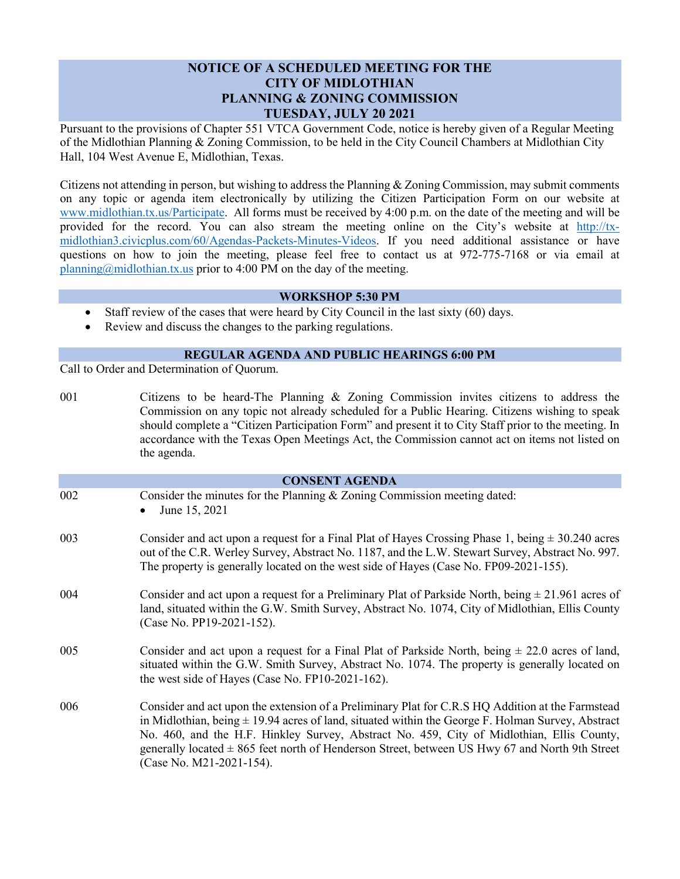## **NOTICE OF A SCHEDULED MEETING FOR THE CITY OF MIDLOTHIAN PLANNING & ZONING COMMISSION TUESDAY, JULY 20 2021**

Pursuant to the provisions of Chapter 551 VTCA Government Code, notice is hereby given of a Regular Meeting of the Midlothian Planning & Zoning Commission, to be held in the City Council Chambers at Midlothian City Hall, 104 West Avenue E, Midlothian, Texas.

Citizens not attending in person, but wishing to address the Planning & Zoning Commission, may submit comments on any topic or agenda item electronically by utilizing the Citizen Participation Form on our website at [www.midlothian.tx.us/Participate.](http://www.midlothian.tx.us/Participate) All forms must be received by 4:00 p.m. on the date of the meeting and will be provided for the record. You can also stream the meeting online on the City's website at [http://tx](http://tx-midlothian3.civicplus.com/60/Agendas-Packets-Minutes-Videos)[midlothian3.civicplus.com/60/Agendas-Packets-Minutes-Videos.](http://tx-midlothian3.civicplus.com/60/Agendas-Packets-Minutes-Videos) If you need additional assistance or have questions on how to join the meeting, please feel free to contact us at 972-775-7168 or via email at [planning@midlothian.tx.us](mailto:planning@midlothian.tx.us) prior to 4:00 PM on the day of the meeting.

## **WORKSHOP 5:30 PM**

- Staff review of the cases that were heard by City Council in the last sixty (60) days.
- Review and discuss the changes to the parking regulations.

## **REGULAR AGENDA AND PUBLIC HEARINGS 6:00 PM**

Call to Order and Determination of Quorum.

001 Citizens to be heard-The Planning & Zoning Commission invites citizens to address the Commission on any topic not already scheduled for a Public Hearing. Citizens wishing to speak should complete a "Citizen Participation Form" and present it to City Staff prior to the meeting. In accordance with the Texas Open Meetings Act, the Commission cannot act on items not listed on the agenda.

| <b>CONSENT AGENDA</b> |                                                                                                                                                                                                                                                                                                                                                                                                                                          |
|-----------------------|------------------------------------------------------------------------------------------------------------------------------------------------------------------------------------------------------------------------------------------------------------------------------------------------------------------------------------------------------------------------------------------------------------------------------------------|
| 002                   | Consider the minutes for the Planning $&$ Zoning Commission meeting dated:<br>June 15, 2021                                                                                                                                                                                                                                                                                                                                              |
| 003                   | Consider and act upon a request for a Final Plat of Hayes Crossing Phase 1, being $\pm$ 30.240 acres<br>out of the C.R. Werley Survey, Abstract No. 1187, and the L.W. Stewart Survey, Abstract No. 997.<br>The property is generally located on the west side of Hayes (Case No. FP09-2021-155).                                                                                                                                        |
| 004                   | Consider and act upon a request for a Preliminary Plat of Parkside North, being $\pm$ 21.961 acres of<br>land, situated within the G.W. Smith Survey, Abstract No. 1074, City of Midlothian, Ellis County<br>(Case No. PP19-2021-152).                                                                                                                                                                                                   |
| 005                   | Consider and act upon a request for a Final Plat of Parkside North, being $\pm$ 22.0 acres of land,<br>situated within the G.W. Smith Survey, Abstract No. 1074. The property is generally located on<br>the west side of Hayes (Case No. FP10-2021-162).                                                                                                                                                                                |
| 006                   | Consider and act upon the extension of a Preliminary Plat for C.R.S HQ Addition at the Farmstead<br>in Midlothian, being $\pm$ 19.94 acres of land, situated within the George F. Holman Survey, Abstract<br>No. 460, and the H.F. Hinkley Survey, Abstract No. 459, City of Midlothian, Ellis County,<br>generally located $\pm$ 865 feet north of Henderson Street, between US Hwy 67 and North 9th Street<br>(Case No. M21-2021-154). |